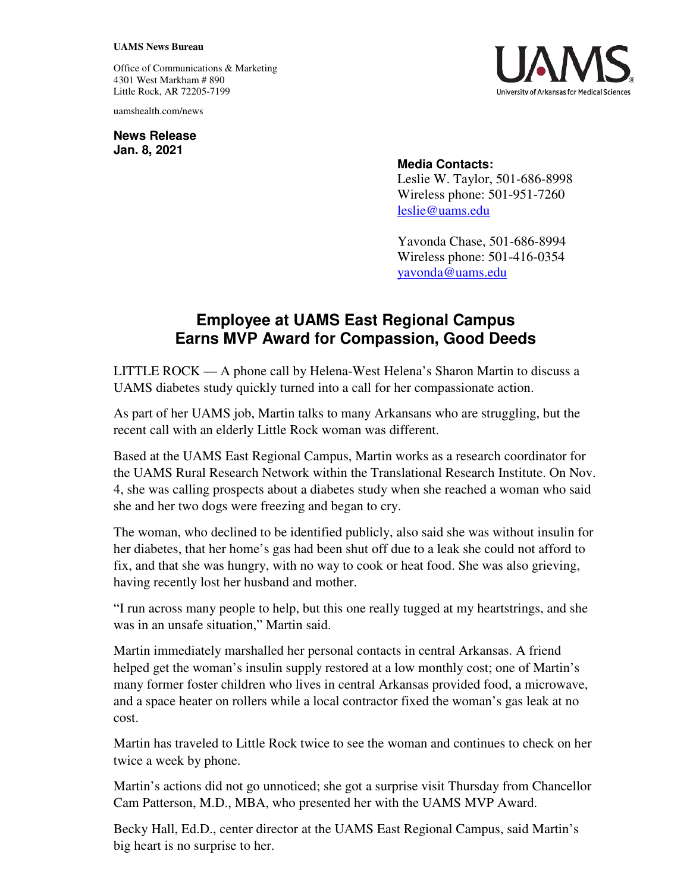## **UAMS News Bureau**

Office of Communications & Marketing 4301 West Markham # 890 Little Rock, AR 72205-7199

uamshealth.com/news

**News Release Jan. 8, 2021**



## **Media Contacts:**

Leslie W. Taylor, 501-686-8998 Wireless phone: 501-951-7260 [leslie@uams.edu](mailto:leslie@uams.edu)

Yavonda Chase, 501-686-8994 Wireless phone: 501-416-0354 [yavonda@uams.edu](mailto:yavonda@uams.edu) 

## **Employee at UAMS East Regional Campus Earns MVP Award for Compassion, Good Deeds**

LITTLE ROCK — A phone call by Helena-West Helena's Sharon Martin to discuss a UAMS diabetes study quickly turned into a call for her compassionate action.

As part of her UAMS job, Martin talks to many Arkansans who are struggling, but the recent call with an elderly Little Rock woman was different.

Based at the UAMS East Regional Campus, Martin works as a research coordinator for the UAMS Rural Research Network within the Translational Research Institute. On Nov. 4, she was calling prospects about a diabetes study when she reached a woman who said she and her two dogs were freezing and began to cry.

The woman, who declined to be identified publicly, also said she was without insulin for her diabetes, that her home's gas had been shut off due to a leak she could not afford to fix, and that she was hungry, with no way to cook or heat food. She was also grieving, having recently lost her husband and mother.

"I run across many people to help, but this one really tugged at my heartstrings, and she was in an unsafe situation," Martin said.

Martin immediately marshalled her personal contacts in central Arkansas. A friend helped get the woman's insulin supply restored at a low monthly cost; one of Martin's many former foster children who lives in central Arkansas provided food, a microwave, and a space heater on rollers while a local contractor fixed the woman's gas leak at no cost.

Martin has traveled to Little Rock twice to see the woman and continues to check on her twice a week by phone.

Martin's actions did not go unnoticed; she got a surprise visit Thursday from Chancellor Cam Patterson, M.D., MBA, who presented her with the UAMS MVP Award.

Becky Hall, Ed.D., center director at the UAMS East Regional Campus, said Martin's big heart is no surprise to her.